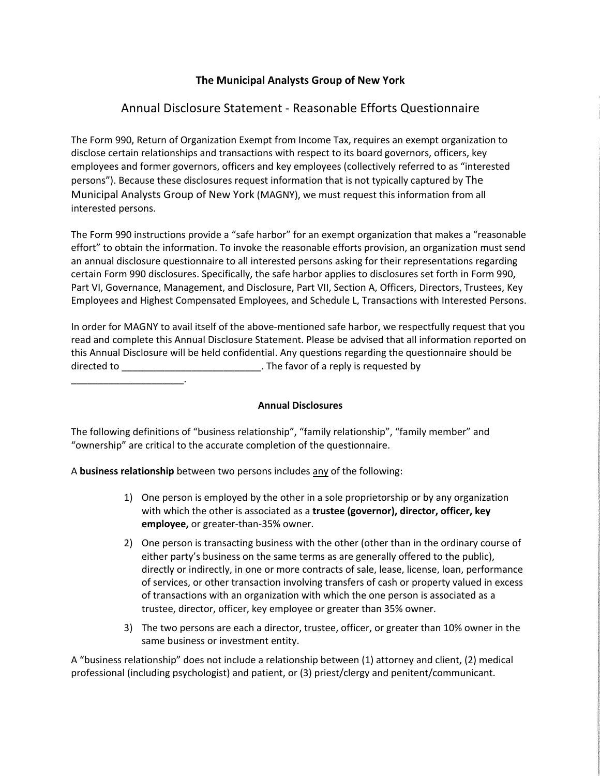## **The Municipal Analysts Group of New York**

# Annual Disclosure Statement - Reasonable Efforts Questionnaire

The Form 990, Return of Organization Exempt from Income Tax, requires an exempt organization to disclose certain relationships and transactions with respect to its board governors, officers, key employees and former governors, officers and key employees (collectively referred to as "interested persons"). Because these disclosures request information that is not typically captured by The Municipal Analysts Group of New York (MAGNY), we must request this information from all interested persons.

The Form 990 instructions provide a "safe harbor" for an exempt organization that makes a "reasonable effort" to obtain the information. To invoke the reasonable efforts provision, an organization must send an annual disclosure questionnaire to all interested persons asking for their representations regarding certain Form 990 disclosures. Specifically, the safe harbor applies to disclosures set forth in Form 990, Part VI, Governance, Management, and Disclosure, Part VII, Section A, Officers, Directors, Trustees, Key Employees and Highest Compensated Employees, and Schedule L, Transactions with Interested Persons.

In order for MAGNY to avail itself of the above-mentioned safe harbor, we respectfully request that you read and complete this Annual Disclosure Statement. Please be advised that all information reported on this Annual Disclosure will be held confidential. Any questions regarding the questionnaire should be directed to \_\_\_\_\_\_\_\_\_\_\_\_\_\_\_\_\_\_\_\_\_\_\_\_\_\_. The favor of a reply is requested by

\_\_\_\_\_\_\_\_\_\_\_\_\_\_\_\_\_\_\_\_\_.

### **Annual Disclosures**

The following definitions of "business relationship", "family relationship", "family member" and "ownership" are critical to the accurate completion of the questionnaire.

A **business relationship** between two persons includes any of the following:

- 1) One person is employed by the other in a sole proprietorship or by any organization with which the other is associated as a **trustee (governor), director, officer, key employee,** or greater-than-35% owner.
- 2) One person is transacting business with the other (other than in the ordinary course of either party's business on the same terms as are generally offered to the public), directly or indirectly, in one or more contracts of sale, lease, license, loan, performance of services, or other transaction involving transfers of cash or property valued in excess of transactions with an organization with which the one person is associated as a trustee, director, officer, key employee or greater than 35% owner.
- 3) The two persons are each a director, trustee, officer, or greater than 10% owner in the same business or investment entity.

A "business relationship" does not include a relationship between (1) attorney and client, (2) medical professional (including psychologist) and patient, or (3) priest/clergy and penitent/communicant.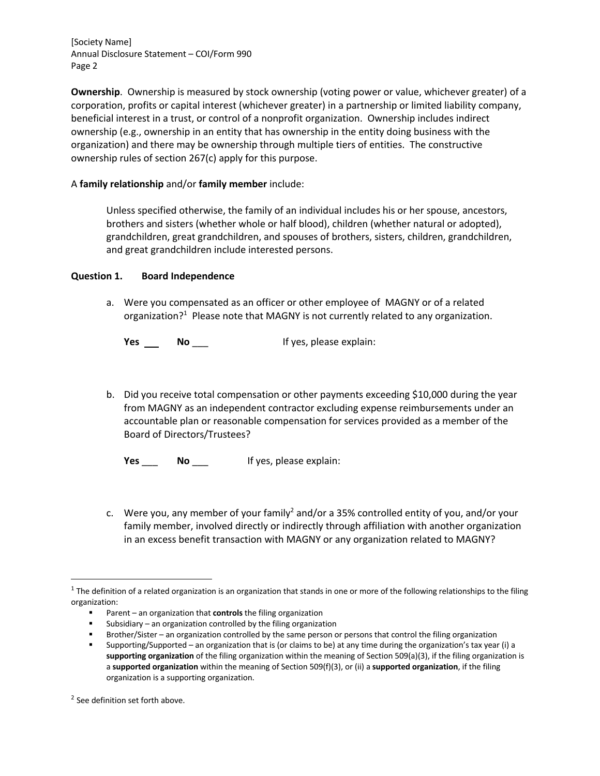**Ownership**. Ownership is measured by stock ownership (voting power or value, whichever greater) of a corporation, profits or capital interest (whichever greater) in a partnership or limited liability company, beneficial interest in a trust, or control of a nonprofit organization. Ownership includes indirect ownership (e.g., ownership in an entity that has ownership in the entity doing business with the organization) and there may be ownership through multiple tiers of entities. The constructive ownership rules of section 267(c) apply for this purpose.

### A **family relationship** and/or **family member** include:

Unless specified otherwise, the family of an individual includes his or her spouse, ancestors, brothers and sisters (whether whole or half blood), children (whether natural or adopted), grandchildren, great grandchildren, and spouses of brothers, sisters, children, grandchildren, and great grandchildren include interested persons.

#### **Question 1. Board Independence**

a. Were you compensated as an officer or other employee of MAGNY or of a related organization?<sup>1</sup> Please note that MAGNY is not currently related to any organization.

**Yes No No If** yes, please explain:

b. Did you receive total compensation or other payments exceeding \$10,000 during the year from MAGNY as an independent contractor excluding expense reimbursements under an accountable plan or reasonable compensation for services provided as a member of the Board of Directors/Trustees?

**Yes No** If yes, please explain:

c. Were you, any member of your family<sup>2</sup> and/or a 35% controlled entity of you, and/or your family member, involved directly or indirectly through affiliation with another organization in an excess benefit transaction with MAGNY or any organization related to MAGNY?

 $1$  The definition of a related organization is an organization that stands in one or more of the following relationships to the filing organization:

<sup>§</sup> Parent – an organization that **controls** the filing organization

<sup>■</sup> Subsidiary – an organization controlled by the filing organization

<sup>§</sup> Brother/Sister – an organization controlled by the same person or persons that control the filing organization

<sup>§</sup> Supporting/Supported – an organization that is (or claims to be) at any time during the organization's tax year (i) a **supporting organization** of the filing organization within the meaning of Section 509(a)(3), if the filing organization is a **supported organization** within the meaning of Section 509(f)(3), or (ii) a **supported organization**, if the filing organization is a supporting organization.

<sup>&</sup>lt;sup>2</sup> See definition set forth above.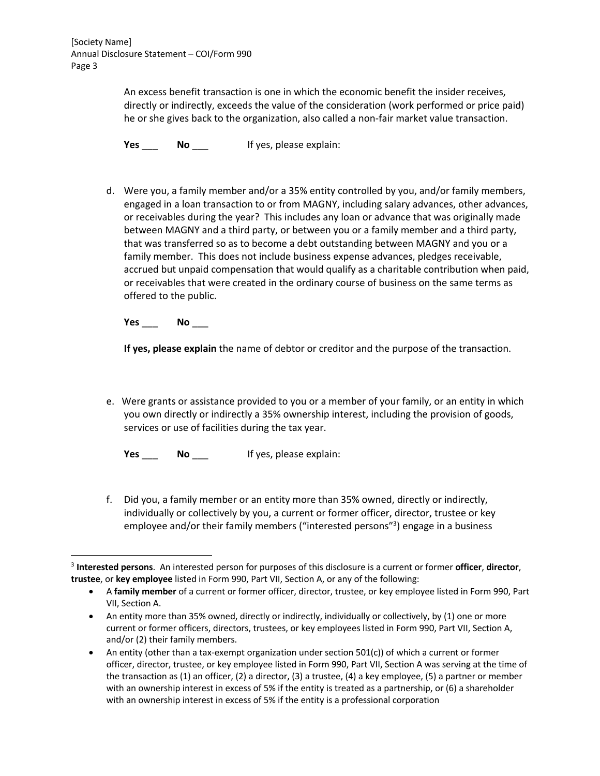> An excess benefit transaction is one in which the economic benefit the insider receives, directly or indirectly, exceeds the value of the consideration (work performed or price paid) he or she gives back to the organization, also called a non-fair market value transaction.

**Yes** \_\_\_ **No** \_\_\_ If yes, please explain:

d. Were you, a family member and/or a 35% entity controlled by you, and/or family members, engaged in a loan transaction to or from MAGNY, including salary advances, other advances, or receivables during the year? This includes any loan or advance that was originally made between MAGNY and a third party, or between you or a family member and a third party, that was transferred so as to become a debt outstanding between MAGNY and you or a family member. This does not include business expense advances, pledges receivable, accrued but unpaid compensation that would qualify as a charitable contribution when paid, or receivables that were created in the ordinary course of business on the same terms as offered to the public.

**Yes** \_\_\_ **No** \_\_\_

**If yes, please explain** the name of debtor or creditor and the purpose of the transaction.

e. Were grants or assistance provided to you or a member of your family, or an entity in which you own directly or indirectly a 35% ownership interest, including the provision of goods, services or use of facilities during the tax year.

**Yes** \_\_\_ **No** \_\_\_ If yes, please explain:

f. Did you, a family member or an entity more than 35% owned, directly or indirectly, individually or collectively by you, a current or former officer, director, trustee or key employee and/or their family members ("interested persons"<sup>3</sup>) engage in a business

<sup>3</sup> **Interested persons**. An interested person for purposes of this disclosure is a current or former **officer**, **director**, **trustee**, or **key employee** listed in Form 990, Part VII, Section A, or any of the following:

<sup>•</sup> A **family member** of a current or former officer, director, trustee, or key employee listed in Form 990, Part VII, Section A.

<sup>•</sup> An entity more than 35% owned, directly or indirectly, individually or collectively, by (1) one or more current or former officers, directors, trustees, or key employees listed in Form 990, Part VII, Section A, and/or (2) their family members.

<sup>•</sup> An entity (other than a tax-exempt organization under section 501(c)) of which a current or former officer, director, trustee, or key employee listed in Form 990, Part VII, Section A was serving at the time of the transaction as (1) an officer, (2) a director, (3) a trustee, (4) a key employee, (5) a partner or member with an ownership interest in excess of 5% if the entity is treated as a partnership, or (6) a shareholder with an ownership interest in excess of 5% if the entity is a professional corporation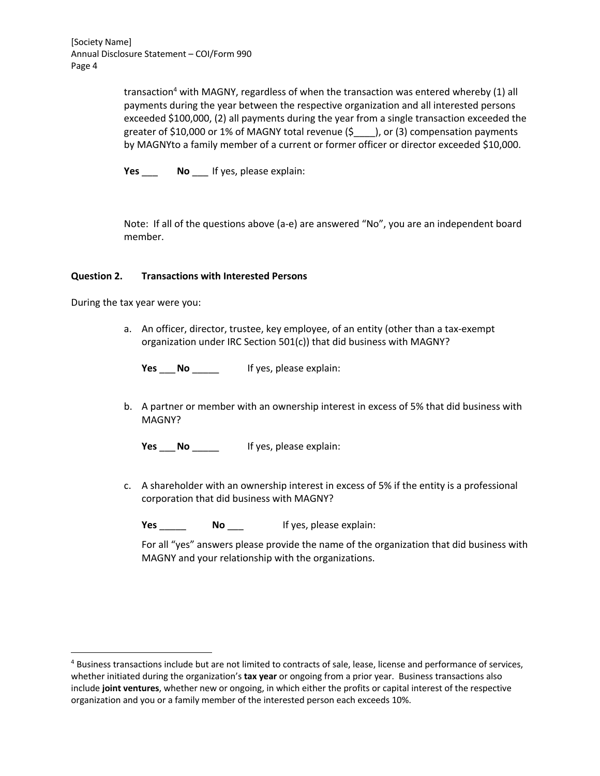> transaction<sup>4</sup> with MAGNY, regardless of when the transaction was entered whereby  $(1)$  all payments during the year between the respective organization and all interested persons exceeded \$100,000, (2) all payments during the year from a single transaction exceeded the greater of \$10,000 or 1% of MAGNY total revenue (\$\_\_\_\_), or (3) compensation payments by MAGNYto a family member of a current or former officer or director exceeded \$10,000.

**Yes** \_\_\_ **No** \_\_\_ If yes, please explain:

Note: If all of the questions above (a-e) are answered "No", you are an independent board member.

#### **Question 2. Transactions with Interested Persons**

During the tax year were you:

a. An officer, director, trustee, key employee, of an entity (other than a tax-exempt organization under IRC Section 501(c)) that did business with MAGNY?

**Yes** \_\_\_**No** \_\_\_\_\_ If yes, please explain:

b. A partner or member with an ownership interest in excess of 5% that did business with MAGNY?

**Yes** \_\_**No If yes, please explain:** 

c. A shareholder with an ownership interest in excess of 5% if the entity is a professional corporation that did business with MAGNY?

**Yes** \_\_\_\_\_ **No** \_\_\_ If yes, please explain:

For all "yes" answers please provide the name of the organization that did business with MAGNY and your relationship with the organizations.

<sup>&</sup>lt;sup>4</sup> Business transactions include but are not limited to contracts of sale, lease, license and performance of services, whether initiated during the organization's **tax year** or ongoing from a prior year. Business transactions also include **joint ventures**, whether new or ongoing, in which either the profits or capital interest of the respective organization and you or a family member of the interested person each exceeds 10%.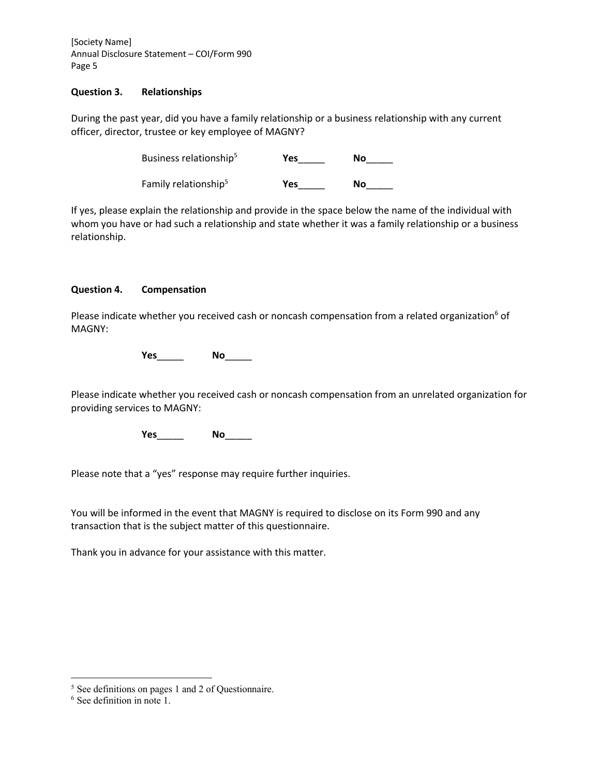#### **Question 3. Relationships**

During the past year, did you have a family relationship or a business relationship with any current officer, director, trustee or key employee of MAGNY?

| Business relationship <sup>5</sup> | Yes | Nο |
|------------------------------------|-----|----|
| Family relationship <sup>5</sup>   | Yes | Nο |

If yes, please explain the relationship and provide in the space below the name of the individual with whom you have or had such a relationship and state whether it was a family relationship or a business relationship.

#### **Question 4. Compensation**

Please indicate whether you received cash or noncash compensation from a related organization<sup>6</sup> of MAGNY:

**Yes**\_\_\_\_\_ **No**\_\_\_\_\_

Please indicate whether you received cash or noncash compensation from an unrelated organization for providing services to MAGNY:

**Yes**\_\_\_\_\_ **No**\_\_\_\_\_

Please note that a "yes" response may require further inquiries.

You will be informed in the event that MAGNY is required to disclose on its Form 990 and any transaction that is the subject matter of this questionnaire.

Thank you in advance for your assistance with this matter.

<sup>5</sup> See definitions on pages 1 and 2 of Questionnaire.

<sup>6</sup> See definition in note 1.